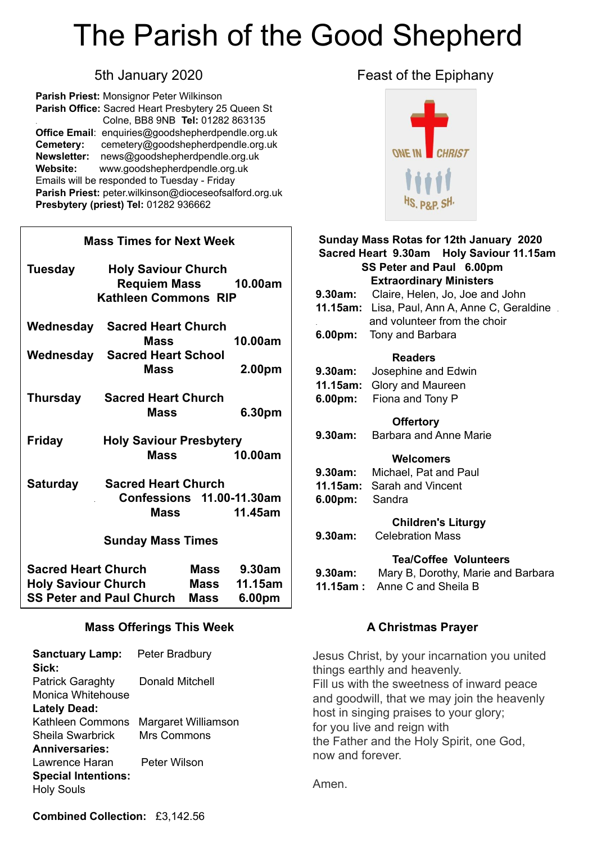# The Parish of the Good Shepherd

**Parish Priest:** Monsignor Peter Wilkinson **Parish Office:** Sacred Heart Presbytery 25 Queen St . Colne, BB8 9NB **Tel:** 01282 863135 **Office Email**: [enquiries@goodshepherdpendle.org.uk](mailto:enquiries@goodshepherdpendle.org.uk) **Cemetery:** cemetery@goodshepherdpendle.org.uk **Newsletter:** news@goodshepherdpendle.org.uk **Website:** www.goodshepherdpendle.org.uk Emails will be responded to Tuesday - Friday **Parish Priest:** [peter.wilkinson@dioceseofsalford.org.uk](mailto:Emailpeter.wilkinson@dioceseofsalford.org.uk) **Presbytery (priest) Tel:** 01282 936662

### **Mass Times for Next Week Tuesday Holy Saviour Church Requiem Mass 10.00am Kathleen Commons RIP Wednesday Sacred Heart Church Mass 10.00am Wednesday Sacred Heart School Mass 2.00pm Thursday Sacred Heart Church Mass 6.30pm Friday Holy Saviour Presbytery Mass 10.00am Saturday Sacred Heart Church** . **Confessions 11.00-11.30am Mass 11.45am Sunday Mass Times Sacred Heart Church Mass 9.30am Holy Saviour Church Mass 11.15am SS Peter and Paul Church Mass 6.00pm Mass Offerings This Week**

#### **Sanctuary Lamp:** Peter Bradbury **Sick:** Patrick Garaghty Donald Mitchell Monica Whitehouse **Lately Dead:**  Kathleen Commons Margaret Williamson Sheila Swarbrick Mrs Commons **Anniversaries:** Lawrence Haran Peter Wilson **Special Intentions:** Holy Souls

#### 5th January 2020 **Feast of the Epiphany**



#### **Sunday Mass Rotas for 12th January 2020 Sacred Heart 9.30am Holy Saviour 11.15am SS Peter and Paul 6.00pm Extraordinary Ministers 9.30am:** Claire, Helen, Jo, Joe and John **11.15am:** Lisa, Paul, Ann A, Anne C, Geraldine . . and volunteer from the choir **6.00pm:** Tony and Barbara  **Readers 9.30am:** Josephine and Edwin **11.15am:** Glory and Maureen **6.00pm:** Fiona and Tony P  **Offertory 9.30am:** Barbara and Anne Marie  **Welcomers 9.30am:** Michael, Pat and Paul **11.15am:** Sarah and Vincent **6.00pm:** Sandra  **Children's Liturgy 9.30am:** Celebration Mass **Tea/Coffee Volunteers 9.30am:** Mary B, Dorothy, Marie and Barbara

**11.15am :** Anne C and Sheila B

#### **A Christmas Prayer**

Jesus Christ, by your incarnation you united things earthly and heavenly. Fill us with the sweetness of inward peace and goodwill, that we may join the heavenly host in singing praises to your glory; for you live and reign with the Father and the Holy Spirit, one God, now and forever.

Amen.

**Combined Collection:** £3,142.56